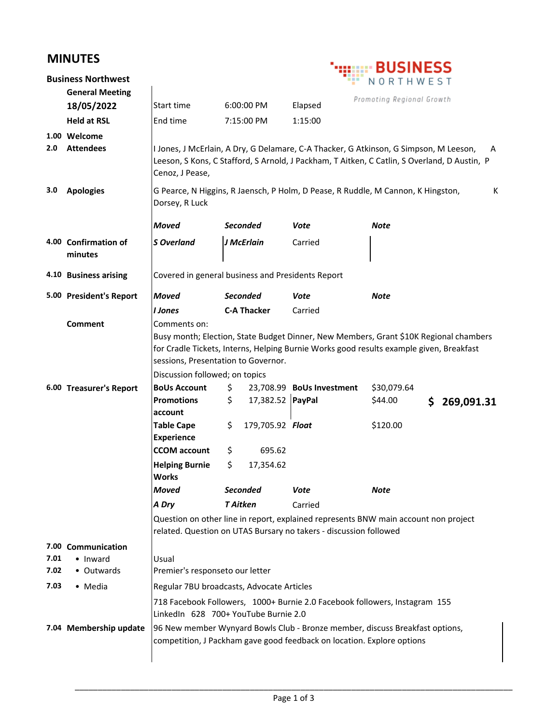## **MINUTES**

|      | <b>Business Northwest</b>       |                                                                                                                                                                 |                 |                    |                                                                        | NORTHWEST                                                                                                                                                                                  |  |
|------|---------------------------------|-----------------------------------------------------------------------------------------------------------------------------------------------------------------|-----------------|--------------------|------------------------------------------------------------------------|--------------------------------------------------------------------------------------------------------------------------------------------------------------------------------------------|--|
|      | <b>General Meeting</b>          |                                                                                                                                                                 |                 |                    |                                                                        | Promoting Regional Growth                                                                                                                                                                  |  |
|      | 18/05/2022                      | Start time                                                                                                                                                      |                 | 6:00:00 PM         | Elapsed                                                                |                                                                                                                                                                                            |  |
|      | <b>Held at RSL</b>              | End time                                                                                                                                                        |                 | 7:15:00 PM         | 1:15:00                                                                |                                                                                                                                                                                            |  |
|      | 1.00 Welcome                    |                                                                                                                                                                 |                 |                    |                                                                        |                                                                                                                                                                                            |  |
| 2.0  | <b>Attendees</b>                | Cenoz, J Pease,                                                                                                                                                 |                 |                    |                                                                        | I Jones, J McErlain, A Dry, G Delamare, C-A Thacker, G Atkinson, G Simpson, M Leeson,<br>A<br>Leeson, S Kons, C Stafford, S Arnold, J Packham, T Aitken, C Catlin, S Overland, D Austin, P |  |
| 3.0  | <b>Apologies</b>                | G Pearce, N Higgins, R Jaensch, P Holm, D Pease, R Ruddle, M Cannon, K Hingston,<br>К<br>Dorsey, R Luck                                                         |                 |                    |                                                                        |                                                                                                                                                                                            |  |
|      |                                 | <b>Moved</b>                                                                                                                                                    |                 | <b>Seconded</b>    | Vote                                                                   | Note                                                                                                                                                                                       |  |
|      | 4.00 Confirmation of<br>minutes | <b>S</b> Overland                                                                                                                                               |                 | J McErlain         | Carried                                                                |                                                                                                                                                                                            |  |
|      | 4.10 Business arising           | Covered in general business and Presidents Report                                                                                                               |                 |                    |                                                                        |                                                                                                                                                                                            |  |
|      | 5.00 President's Report         | Moved                                                                                                                                                           |                 | <b>Seconded</b>    | Vote                                                                   | <b>Note</b>                                                                                                                                                                                |  |
|      |                                 | I Jones                                                                                                                                                         |                 | <b>C-A Thacker</b> | Carried                                                                |                                                                                                                                                                                            |  |
|      | <b>Comment</b>                  | Comments on:<br>sessions, Presentation to Governor.                                                                                                             |                 |                    |                                                                        | Busy month; Election, State Budget Dinner, New Members, Grant \$10K Regional chambers<br>for Cradle Tickets, Interns, Helping Burnie Works good results example given, Breakfast           |  |
|      |                                 | Discussion followed; on topics                                                                                                                                  |                 |                    |                                                                        |                                                                                                                                                                                            |  |
|      | 6.00 Treasurer's Report         | <b>BoUs Account</b><br><b>Promotions</b><br>account                                                                                                             | \$<br>\$        | 17,382.52 PayPal   | 23,708.99 BoUs Investment                                              | \$30,079.64<br>\$44.00<br>\$<br>269,091.31                                                                                                                                                 |  |
|      |                                 | <b>Table Cape</b><br><b>Experience</b>                                                                                                                          | \$              | 179,705.92 Float   |                                                                        | \$120.00                                                                                                                                                                                   |  |
|      |                                 | <b>CCOM</b> account                                                                                                                                             | \$              | 695.62             |                                                                        |                                                                                                                                                                                            |  |
|      |                                 | <b>Helping Burnie</b><br><b>Works</b>                                                                                                                           | \$              | 17,354.62          |                                                                        |                                                                                                                                                                                            |  |
|      |                                 | Moved                                                                                                                                                           |                 | <b>Seconded</b>    | Vote                                                                   | Note                                                                                                                                                                                       |  |
|      |                                 | A Dry                                                                                                                                                           | <b>T</b> Aitken |                    | Carried                                                                |                                                                                                                                                                                            |  |
|      |                                 | Question on other line in report, explained represents BNW main account non project<br>related. Question on UTAS Bursary no takers - discussion followed        |                 |                    |                                                                        |                                                                                                                                                                                            |  |
|      | 7.00 Communication              |                                                                                                                                                                 |                 |                    |                                                                        |                                                                                                                                                                                            |  |
| 7.01 | • Inward                        | Usual                                                                                                                                                           |                 |                    |                                                                        |                                                                                                                                                                                            |  |
| 7.02 | • Outwards                      | Premier's responseto our letter                                                                                                                                 |                 |                    |                                                                        |                                                                                                                                                                                            |  |
| 7.03 | • Media                         | Regular 7BU broadcasts, Advocate Articles<br>718 Facebook Followers, 1000+ Burnie 2.0 Facebook followers, Instagram 155<br>LinkedIn 628 700+ YouTube Burnie 2.0 |                 |                    |                                                                        |                                                                                                                                                                                            |  |
|      |                                 |                                                                                                                                                                 |                 |                    |                                                                        |                                                                                                                                                                                            |  |
|      | 7.04 Membership update          |                                                                                                                                                                 |                 |                    | competition, J Packham gave good feedback on location. Explore options | 96 New member Wynyard Bowls Club - Bronze member, discuss Breakfast options,                                                                                                               |  |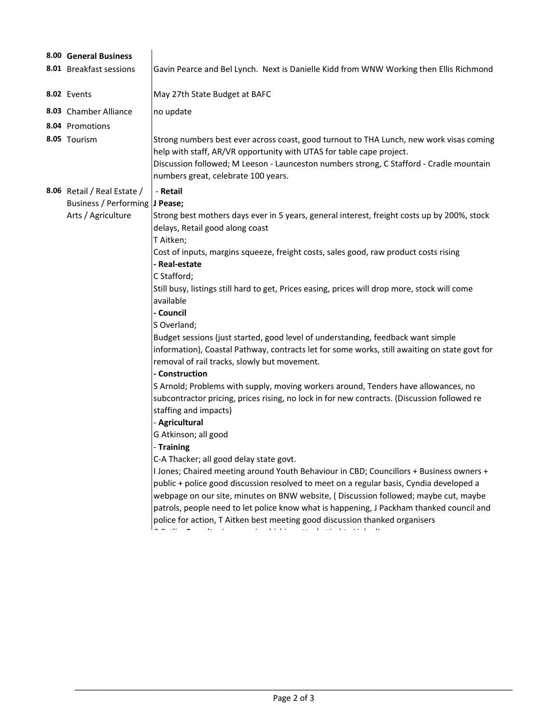|  | 8.00 General Business          |                                                                                                                                                                                                                                                                                                   |  |  |  |  |  |
|--|--------------------------------|---------------------------------------------------------------------------------------------------------------------------------------------------------------------------------------------------------------------------------------------------------------------------------------------------|--|--|--|--|--|
|  | 8.01 Breakfast sessions        | Gavin Pearce and Bel Lynch. Next is Danielle Kidd from WNW Working then Ellis Richmond                                                                                                                                                                                                            |  |  |  |  |  |
|  | 8.02 Events                    | May 27th State Budget at BAFC                                                                                                                                                                                                                                                                     |  |  |  |  |  |
|  | 8.03 Chamber Alliance          | no update                                                                                                                                                                                                                                                                                         |  |  |  |  |  |
|  | 8.04 Promotions                |                                                                                                                                                                                                                                                                                                   |  |  |  |  |  |
|  | 8.05 Tourism                   | Strong numbers best ever across coast, good turnout to THA Lunch, new work visas coming<br>help with staff, AR/VR opportunity with UTAS for table cape project.<br>Discussion followed; M Leeson - Launceston numbers strong, C Stafford - Cradle mountain<br>numbers great, celebrate 100 years. |  |  |  |  |  |
|  | 8.06 Retail / Real Estate /    | - Retail                                                                                                                                                                                                                                                                                          |  |  |  |  |  |
|  | Business / Performing J Pease; |                                                                                                                                                                                                                                                                                                   |  |  |  |  |  |
|  | Arts / Agriculture             | Strong best mothers days ever in 5 years, general interest, freight costs up by 200%, stock<br>delays, Retail good along coast<br>T Aitken;                                                                                                                                                       |  |  |  |  |  |
|  |                                | Cost of inputs, margins squeeze, freight costs, sales good, raw product costs rising                                                                                                                                                                                                              |  |  |  |  |  |
|  |                                | - Real-estate                                                                                                                                                                                                                                                                                     |  |  |  |  |  |
|  |                                | C Stafford;                                                                                                                                                                                                                                                                                       |  |  |  |  |  |
|  |                                | Still busy, listings still hard to get, Prices easing, prices will drop more, stock will come                                                                                                                                                                                                     |  |  |  |  |  |
|  |                                | available                                                                                                                                                                                                                                                                                         |  |  |  |  |  |
|  |                                | - Council                                                                                                                                                                                                                                                                                         |  |  |  |  |  |
|  |                                | S Overland;                                                                                                                                                                                                                                                                                       |  |  |  |  |  |
|  |                                | Budget sessions (just started, good level of understanding, feedback want simple<br>information), Coastal Pathway, contracts let for some works, still awaiting on state govt for<br>removal of rail tracks, slowly but movement.                                                                 |  |  |  |  |  |
|  |                                | - Construction                                                                                                                                                                                                                                                                                    |  |  |  |  |  |
|  |                                | S Arnold; Problems with supply, moving workers around, Tenders have allowances, no                                                                                                                                                                                                                |  |  |  |  |  |
|  |                                | subcontractor pricing, prices rising, no lock in for new contracts. (Discussion followed re                                                                                                                                                                                                       |  |  |  |  |  |
|  |                                | staffing and impacts)                                                                                                                                                                                                                                                                             |  |  |  |  |  |
|  |                                | - Agricultural                                                                                                                                                                                                                                                                                    |  |  |  |  |  |
|  |                                | G Atkinson; all good                                                                                                                                                                                                                                                                              |  |  |  |  |  |
|  |                                | - Training                                                                                                                                                                                                                                                                                        |  |  |  |  |  |
|  |                                | C-A Thacker; all good delay state govt.                                                                                                                                                                                                                                                           |  |  |  |  |  |
|  |                                | I Jones; Chaired meeting around Youth Behaviour in CBD; Councillors + Business owners +                                                                                                                                                                                                           |  |  |  |  |  |
|  |                                | public + police good discussion resolved to meet on a regular basis, Cyndia developed a                                                                                                                                                                                                           |  |  |  |  |  |
|  |                                | webpage on our site, minutes on BNW website, (Discussion followed; maybe cut, maybe                                                                                                                                                                                                               |  |  |  |  |  |
|  |                                | patrols, people need to let police know what is happening, J Packham thanked council and                                                                                                                                                                                                          |  |  |  |  |  |
|  |                                | police for action, T Aitken best meeting good discussion thanked organisers                                                                                                                                                                                                                       |  |  |  |  |  |
|  |                                |                                                                                                                                                                                                                                                                                                   |  |  |  |  |  |